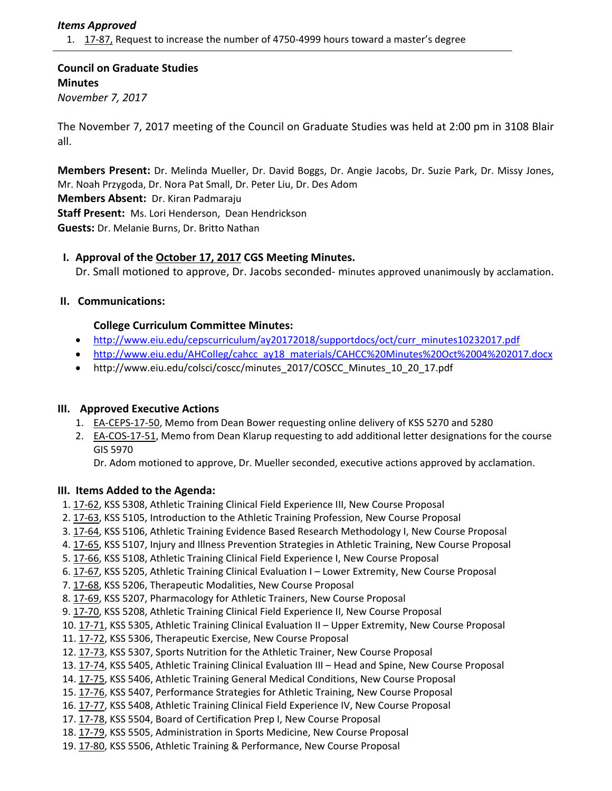## *Items Approved*

1. 17‐[87,](http://castle.eiu.edu/eiucgs/currentagendaitems/agenda17-87.pdf) Request to increase the number of 4750‐4999 hours toward a master's degree

**Council on Graduate Studies Minutes** *November 7, 2017*

The November 7, 2017 meeting of the Council on Graduate Studies was held at 2:00 pm in 3108 Blair all.

**Members Present:** Dr. Melinda Mueller, Dr. David Boggs, Dr. Angie Jacobs, Dr. Suzie Park, Dr. Missy Jones, Mr. Noah Przygoda, Dr. Nora Pat Small, Dr. Peter Liu, Dr. Des Adom **Members Absent:** Dr. Kiran Padmaraju **Staff Present:** Ms. Lori Henderson, Dean Hendrickson **Guests:** Dr. Melanie Burns, Dr. Britto Nathan

# **I. Approval of the [October](http://castle.eiu.edu/eiucgs/currentminutes/Minutes10-17-17.pdf) 17, 2017 CGS Meeting Minutes.**

Dr. Small motioned to approve, Dr. Jacobs seconded‐ minutes approved unanimously by acclamation.

# **II. Communications:**

## **College Curriculum Committee Minutes:**

- [http://www.eiu.edu/cepscurriculum/ay20172018/supportdocs/oct/curr\\_minutes10232017.pdf](http://www.eiu.edu/cepscurriculum/ay20172018/supportdocs/oct/curr_minutes10232017.pdf)
- [http://www.eiu.edu/AHColleg/cahcc\\_ay18\\_materials/CAHCC%20Minutes%20Oct%2004%202017.docx](http://www.eiu.edu/AHColleg/cahcc_ay18_materials/CAHCC%20Minutes%20Oct%2004%20201)
- [http://www.eiu.edu/colsci/coscc/minutes\\_2017/COSCC\\_Minutes\\_10\\_20\\_17.pdf](http://www.eiu.edu/colsci/coscc/minutes_2017/COSCC_Minutes_10_20_17.pdf)

# **III. Approved Executive Actions**

- 1. EA-[CEPS](http://castle.eiu.edu/eiucgs/exec-actions/EA-CEPS-17-50.pdf)-17-50, Memo from Dean Bower requesting online delivery of KSS 5270 and 5280
- 2. EA-[COS](http://castle.eiu.edu/eiucgs/exec-actions/EA-COS-17-51.pdf)-17-51, Memo from Dean Klarup requesting to add additional letter designations for the course GIS 5970

Dr. Adom motioned to approve, Dr. Mueller seconded, executive actions approved by acclamation.

#### **III. Items Added to the Agenda:**

- 1. 17‐[62,](http://castle.eiu.edu/eiucgs/currentagendaitems/agenda17-62.pdf) KSS 5308, Athletic Training Clinical Field Experience III, New Course Proposal
- 2. 17‐[63,](http://castle.eiu.edu/eiucgs/currentagendaitems/agenda17-63.pdf) KSS 5105, Introduction to the Athletic Training Profession, New Course Proposal
- 3. 17-[64,](http://castle.eiu.edu/eiucgs/currentagendaitems/agenda17-64.pdf) KSS 5106, Athletic Training Evidence Based Research Methodology I, New Course Proposal
- 4. 17‐[65,](http://castle.eiu.edu/eiucgs/currentagendaitems/agenda17-65.pdf) KSS 5107, Injury and Illness Prevention Strategies in Athletic Training, New Course Proposal
- 5. 17-[66,](http://castle.eiu.edu/eiucgs/currentagendaitems/agenda17-66.pdf) KSS 5108, Athletic Training Clinical Field Experience I, New Course Proposal
- 6. [17](http://castle.eiu.edu/eiucgs/currentagendaitems/agenda17-67.pdf)-67, KSS 5205, Athletic Training Clinical Evaluation I Lower Extremity, New Course Proposal
- 7. 17-[68,](http://castle.eiu.edu/eiucgs/currentagendaitems/agenda17-68.pdf) KSS 5206, Therapeutic Modalities, New Course Proposal
- 8. 17-[69,](http://castle.eiu.edu/eiucgs/currentagendaitems/agenda17-69.pdf) KSS 5207, Pharmacology for Athletic Trainers, New Course Proposal
- 9. [17](http://castle.eiu.edu/eiucgs/currentagendaitems/agenda17-70.pdf)‐70, KSS 5208, Athletic Training Clinical Field Experience II, New Course Proposal
- 10. 17-[71,](http://castle.eiu.edu/eiucgs/currentagendaitems/agenda17-71.pdf) KSS 5305, Athletic Training Clinical Evaluation II Upper Extremity, New Course Proposal
- 11. 17‐[72,](http://castle.eiu.edu/eiucgs/currentagendaitems/agenda17-72.pdf) KSS 5306, Therapeutic Exercise, New Course Proposal
- 12. 17‐[73,](http://castle.eiu.edu/eiucgs/currentagendaitems/agenda17-73.pdf) KSS 5307, Sports Nutrition for the Athletic Trainer, New Course Proposal
- 13. [17](http://castle.eiu.edu/eiucgs/currentagendaitems/agenda17-74.pdf)‐74, KSS 5405, Athletic Training Clinical Evaluation III Head and Spine, New Course Proposal
- 14. 17‐[75,](http://castle.eiu.edu/eiucgs/currentagendaitems/agenda17-75.pdf) KSS 5406, Athletic Training General Medical Conditions, New Course Proposal
- 15. 17-[76,](http://castle.eiu.edu/eiucgs/currentagendaitems/agenda17-76.pdf) KSS 5407, Performance Strategies for Athletic Training, New Course Proposal
- 16. 17-[77,](http://castle.eiu.edu/eiucgs/currentagendaitems/agenda17-77.pdf) KSS 5408, Athletic Training Clinical Field Experience IV, New Course Proposal
- 17. 17-[78,](http://castle.eiu.edu/eiucgs/currentagendaitems/agenda17-78.pdf) KSS 5504, Board of Certification Prep I, New Course Proposal
- 18. 17-[79,](http://castle.eiu.edu/eiucgs/currentagendaitems/agenda17-79.pdf) KSS 5505, Administration in Sports Medicine, New Course Proposal
- 19. 17-[80,](http://castle.eiu.edu/eiucgs/currentagendaitems/agenda17-80.pdf) KSS 5506, Athletic Training & Performance, New Course Proposal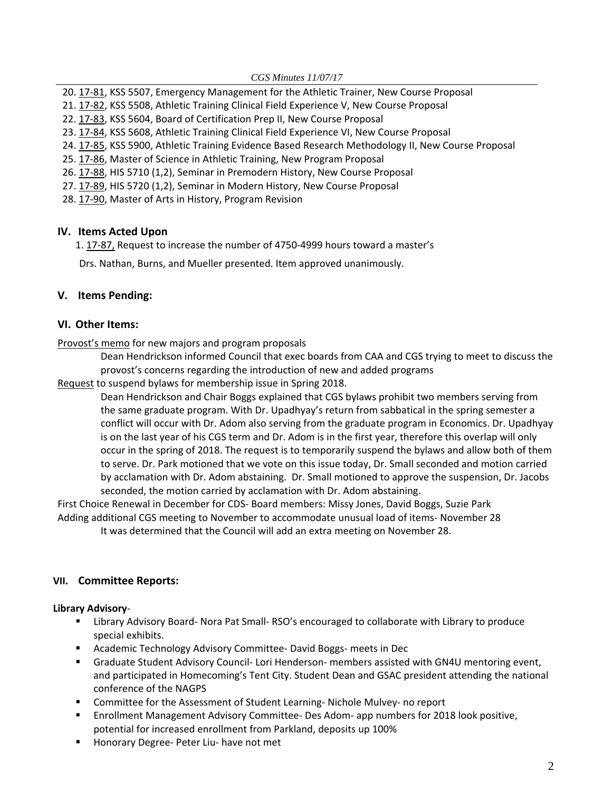- 20. 17-[81,](http://castle.eiu.edu/eiucgs/currentagendaitems/agenda17-81.pdf) KSS 5507, Emergency Management for the Athletic Trainer, New Course Proposal
- 21. 17‐[82,](http://castle.eiu.edu/eiucgs/currentagendaitems/agenda17-82.pdf) KSS 5508, Athletic Training Clinical Field Experience V, New Course Proposal
- 22. 17‐[83,](http://castle.eiu.edu/eiucgs/currentagendaitems/agenda17-83.pdf) KSS 5604, Board of Certification Prep II, New Course Proposal
- 23. 17‐[84,](http://castle.eiu.edu/eiucgs/currentagendaitems/agenda17-84.pdf) KSS 5608, Athletic Training Clinical Field Experience VI, New Course Proposal
- 24. [17](http://castle.eiu.edu/eiucgs/currentagendaitems/agenda17-85.pdf)-85, KSS 5900, Athletic Training Evidence Based Research Methodology II, New Course Proposal
- 25. 17‐[86,](http://castle.eiu.edu/eiucgs/currentagendaitems/agenda17-86.pdf) Master of Science in Athletic Training, New Program Proposal
- 26. 17‐[88,](http://castle.eiu.edu/eiucgs/currentagendaitems/agenda17-88.pdf) HIS 5710 (1,2), Seminar in Premodern History, New Course Proposal
- 27. 17-[89,](http://castle.eiu.edu/eiucgs/currentagendaitems/agenda17-89.pdf) HIS 5720 (1,2), Seminar in Modern History, New Course Proposal
- 28. 17‐[90,](http://castle.eiu.edu/eiucgs/currentagendaitems/agenda17-90.pdf) Master of Arts in History, Program Revision

## **IV. Items Acted Upon**

1. 17‐[87,](http://castle.eiu.edu/eiucgs/currentagendaitems/agenda17-87.pdf) Request to increase the number of 4750‐4999 hours toward a master's

Drs. Nathan, Burns, and Mueller presented. Item approved unanimously.

# **V. Items Pending:**

## **VI. Other Items:**

[Provost's](http://castle.eiu.edu/eiucgs/provost-new-program-proposal.pdf) memo for new majors and program proposals

 Dean Hendrickson informed Council that exec boards from CAA and CGS trying to meet to discuss the provost's concerns regarding the introduction of new and added programs

[Request](http://castle.eiu.edu/eiucgs/documents/request%20to%20waive%20bylaws%20membership%20SP18.pdf) to suspend bylaws for membership issue in Spring 2018.

 Dean Hendrickson and Chair Boggs explained that CGS bylaws prohibit two members serving from the same graduate program. With Dr. Upadhyay's return from sabbatical in the spring semester a conflict will occur with Dr. Adom also serving from the graduate program in Economics. Dr. Upadhyay is on the last year of his CGS term and Dr. Adom is in the first year, therefore this overlap will only occur in the spring of 2018. The request is to temporarily suspend the bylaws and allow both of them to serve. Dr. Park motioned that we vote on this issue today, Dr. Small seconded and motion carried by acclamation with Dr. Adom abstaining. Dr. Small motioned to approve the suspension, Dr. Jacobs seconded, the motion carried by acclamation with Dr. Adom abstaining.

First Choice Renewal in December for CDS‐ Board members: Missy Jones, David Boggs, Suzie Park Adding additional CGS meeting to November to accommodate unusual load of items‐ November 28 It was determined that the Council will add an extra meeting on November 28.

#### **VII. Committee Reports:**

#### **Library Advisory**‐

- Library Advisory Board- Nora Pat Small-RSO's encouraged to collaborate with Library to produce special exhibits.
- Academic Technology Advisory Committee-David Boggs-meets in Dec
- Graduate Student Advisory Council- Lori Henderson- members assisted with GN4U mentoring event, and participated in Homecoming's Tent City. Student Dean and GSAC president attending the national conference of the NAGPS
- Committee for the Assessment of Student Learning-Nichole Mulvey- no report
- Enrollment Management Advisory Committee- Des Adom- app numbers for 2018 look positive, potential for increased enrollment from Parkland, deposits up 100%
- Honorary Degree- Peter Liu- have not met